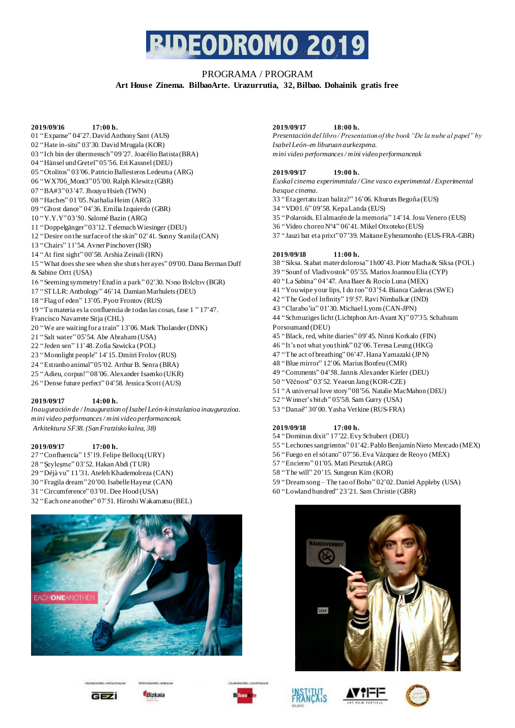

## PROGRAMA / PROGRAM

## **Art House Zinema. BilbaoArte. Urazurrutia, 32, Bilbao. Dohainik gratis free**

### **2019/09/16 17:00 h.**

- "Expanse" 04'27.David Anthony Sant (AUS)
- "Hate in-situ" 03'30. David Mrugala (KOR)
- "Ich bin der übermensch"09'27. Joacélio Batista(BRA)
- "Hänsel und Gretel"05'56. Eri Kassnel (DEU)
- "Otolitos" 03'06.Patricio Ballesteros Ledesma (ARG)
- "WX706\_Mont3"05'00. Ralph Klewitz (GBR)
- "BA#3"03'47. Jhouyu Hsieh (TWN)
- "Haches" 01'05.Nathalia Heim (ARG)
- "Ghost dance" 04'36. Emilia Izquierdo (GBR)
- "Y.Y.Y"03'50. Salomé Bazin (ARG)
- "Doppelgänger"03'12.Telemach Wiesinger (DEU) "Desire on the surface of the skin" 02'41. Sunny Stanila (CAN)
- "Chairs" 11'54. Avner Pinchover (ISR)
- "At first sight" 00'58. Arshia Zeinali (IRN)
- "What does she see when she shuts her ayes" 09'00. Dana Berman Duff & Sabine Ortt (USA)
- 16 "Seeming symmetry! Etud in a park" 02'30. Nэno Bэlchэv (BGR)
- "STLLR: Anthology" 46'14. Damian Marhulets(DEU)
- "Flag of eden" 13'05.Pyotr Frontov (RUS)
- "Tu materia es la confluencia de todas las cosas, fase 1 " 17'47.
- Francisco Navarrete Sitja (CHL)
- "We are waiting for a train" 13'06. Mark Tholander(DNK)
- "Salt water" 05'54. Abe Abraham(USA)
- "Jeden sen" 11'48.Zofia Sawicka (POL)
- "Monnlight people" 14'15.Dmitri Frolov (RUS)
- "Estranho animal"05'02. Arthur B. Senra (BRA)
- "Adieu, corpus!" 08'06.Alexander Isaenko (UKR)
- "Dense future perfect" 04'58. Jessica Scott (AUS)

## **2019/09/17 14:00 h.**

*Inauguración de / Inauguration of Isabel León-k instalazioa inaugurazioa. mini video performances / mini video performanceak. Arkitektura SF38. (San Fratzisko kalea, 38)*

- 
- "Şeyleşme" 03'52. Hakan Abdi (TUR)
- "Déjà vu" 11'31. Atefeh Khademolreza (CAN)
- "Fragila dream"20'00. Isabelle Hayeur (CAN)
- "Circumference" 03'01.Dee Hood (USA)
- "Each one another" 07'51. Hiroshi Wakamatsu (BEL)



## **2019/09/17 18:00 h.**

*Presentación del libro / Presentation of the book "De la nube al papel" by Isabel León-en liburuan aurkezpena. mini video performances / mini video performanceak*

## **2019/09/17 19:00 h.**

*Euskal cinema experimentala / Cine vasco experimental / Experimental basque cinema.*

- "Eta gertatu izan balitz?" 16'06. Khuruts Begoña (EUS)
- "VD01.6" 09'58. Kepa Landa (EUS)
- "Polaroids. El almacén de la memoria" 14'14. Josu Venero (EUS)
- "Video choreo Nº4" 06'41. Mikel Otxoteko (EUS)
- "Jauzi bat eta prixt"07'39. Maitane Eyheramonho (EUS-FRA-GBR)

### **2019/09/18 11:00 h.**

- "Siksa. Stabat mater dolorosa"1h00'43.Piotr Macha & Siksa (POL)
- "Sounf of Vladivostok" 05'55. Marios Joannou Elia (CYP)
- "La Sabina" 04'47. Ana Baer & Rocío Luna (MEX)
- "You wipe your lips, I do too"03'54. Bianca Caderas(SWE)
- "The God of Infinity" 19'57. Ravi Nimbalkar (IND)
- "Clarabo'ia" 01'30. Michael Lyons(CAN-JPN)

 "Schmuziges licht (Lichtphon Art-Avant X)" 07'35. Schahram Porsoumand (DEU)

- "Black, red, white diaries" 09'45. Ninni Korkalo (FIN)
- "It's not what you think" 02'06.Teresa Leung (HKG)
- "The act of breathing" 06'47.Hana Yamazaki (JPN)
- "Blue mirror" 12'06. Marius Bonfeu (CMR)
- "Comments" 04'58.Jannis Alexander Kiefer (DEU)
- "Vĕčnost" 03'52. Yeaeun Jang (KOR-CZE)
- "A universal love story"08'56. Natalie MacMahon (DEU)
- "Winner's bitch" 05'58. Sam Gurry (USA)
- "Danaé" 30'00.Yasha Vetkine (RUS-FRA)

## **2019/09/18 17:00 h.**

- "Dominus dixit" 17'22.Evy Schubert (DEU)
- "Lechones sangrientos" 01'42.Pablo Benjamín Nieto Mercado (MEX)
- "Fuego en el sótano" 07'56.Eva Vázquez de Reoyo (MEX)
- "Encierro" 01'05. Mati Pirsztuk (ARG)
- "The will" 20'15. Sungeun Kim (KOR)
- "Dream song The tao of Bobo" 02'02.Daniel Appleby (USA)
- "Lowland hundred" 23'21. Sam Christie (GBR)







**WELL ENGINEERS** 









- 
- 

**2019/09/17 17:00 h.** "Confluencia" 15'19.Felipe Bellocq (URY)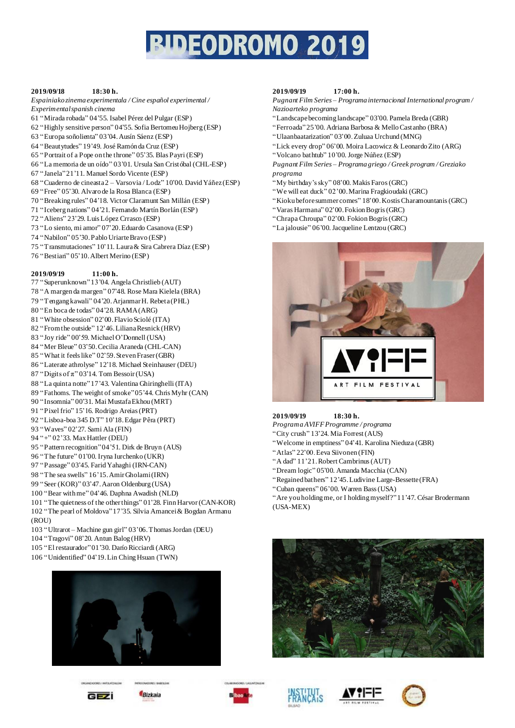# **RIDEODROMO 2019**

#### **2019/09/18 18:30 h.**

*Espainiako zinema experimentala / Cine español experimental / Experimental spanish cinema*

- 61 "Mirada robada" 04'55. Isabel Pérez del Pulgar (ESP)
- 62 "Highly sensitive person" 04'55. Sofia Bertomeu Hojberg (ESP)
- 63 "Europa soñolienta" 03'04.Ausín Sáenz (ESP)
- 64 "Beautytudes" 19'49. José Ramón da Cruz (ESP)
- 65 "Portrait of a Pope on the throne" 05'35. Blas Payri (ESP)
- 66 "La memoria de un oído" 03'01. Ursula San Cristóbal (CHL-ESP)
- 67 "Janela"21'11. Manuel Sordo Vicente (ESP)
- 68 "Cuaderno de cineasta 2 Varsovia / Lodz" 10'00. David Yáñez (ESP)
- 69 "Free" 05'30. Alvaro de la Rosa Blanca (ESP)
- 70 "Breaking rules" 04'18. Victor Claramunt San Millán (ESP)
- 71 "Iceberg nations" 04'21. Fernando Martín Borlán (ESP)
- 72 "Aliens" 23'29. Luis López Crrasco (ESP)
- 73 "Lo siento, mi amor" 07'20.Eduardo Casanova (ESP)
- 74 "Nabilon" 05'30.Pablo Uriarte Bravo (ESP)
- 75 "Transmutaciones" 10'11. Laura & Sira Cabrera Díaz (ESP)
- 76 "Bestiari" 05'10.Albert Merino (ESP)

## **2019/09/19 11:00 h.**

- 77 "Superunknown"13'04. Angela Christlieb (AUT)
- 78 "A margen da margen" 07'48. Rose Mara Kielela (BRA)
- 79 "Tengang kawali" 04'20.Arjanmar H. Rebeta (PHL)
- 80 "En boca de todas" 04'28. RAMA(ARG)
- 81 "White obsession" 02'00.Flavio Sciolé (ITA)
- 82 "From the outside" 12'46.Liliana Resnick (HRV)
- 83 "Joy ride" 00'59. Michael O'Donnell (USA)
- 84 "Mer Bleue" 03'50.Cecilia Araneda (CHL-CAN)
- 85 "What it feels like" 02'59.Steven Fraser(GBR)
- 86 "Laterate athrolyse" 12'18. Michael Steinhauser (DEU)
- 87 "Digits of π" 03'14. Tom Bessoir(USA)
- 88 "La quinta notte"17'43. Valentina Ghiringhelli (ITA)
- 89 "Fathoms. The weight of smoke"05'44. Chris Myhr (CAN)
- 90 "Insomnia" 00'31. Mai Mustafa Ekhou (MRT)
- 91 "Pixel frio" 15'16. Rodrigo Areias(PRT)
- 92 "Lisboa-boa 345 D.T" 10'18.Edgar Pêra (PRT)
- 93 "Waves" 02'27. Sami Ala (FIN)
- 94 "+" 02'33. Max Hattler (DEU)
- 95 "Pattern recognition"04'51. Dirk de Bruyn (AUS)
- 96 "The future" 01'00. Iryna Iurchenko (UKR)
- 97 "Passage" 03'45. Farid Yahaghi (IRN-CAN)
- 98 "The sea swells" 16'15.Amir Gholami(IRN)
- 99 "Seer (KOR)" 03'47.Aaron Oldenburg (USA)
- 100 "Bear with me" 04'46. Daphna Awadish (NLD)

101 "The quietness of the other things" 01'28. Finn Harvor(CAN-KOR) 102 "The pearl of Moldova"17'35. Silvia Amancei & Bogdan Armanu

- (ROU)
- 103 "Ultrarot Machine gun girl" 03'06.Thomas Jordan (DEU)
- 104 "Tragovi" 08'20. Antun Balog (HRV)
- 105 "El restaurador"01'30. Darío Ricciardi (ARG)
- 106 "Unidentified" 04'19.Lin Ching Hsuan (TWN)



## GEZI





#### **2019/09/19 17:00 h.**

*Pugnant Film Series – Programa internacional International program / Nazioarteko programa*

- "Landscape becoming landscape" 03'00. Pamela Breda (GBR)
- "Ferroada"25'00. Adriana Barbosa & Mello Castanho (BRA)
- "Ulaanbaatarization" 03'00.Zuluaa Urchund (MNG)
- "Lick every drop" 06'00. Moira Lacowicz & Leonardo Zito (ARG) "Volcano bathtub" 10'00. Jorge Núñez (ESP)
- *Pugnant Film Series – Programa griego / Greek program / Greziako programa*
- "My birthday's sky" 08'00. Makis Faros(GRC)
- "We will eat duck" 02'00.Marina Fragkioudaki (GRC)
- "Kioku before summer comes" 18'00.Kostis Charamountanis(GRC)
- "Varas Harmana" 02'00.Fokion Bogris (GRC)
- "Chrapa Chroupa" 02'00. Fokion Bogris (GRC)
- "La jalousie" 06'00. Jacqueline Lentzou (GRC)



## **2019/09/19 18:30 h.**

- *Programa AVIFF Programme / programa*
- "City crush" 13'24. Mia Forrest (AUS)
- "Welcome in emptiness" 04'41. Karolina Nieduza (GBR)
- "Atlas" 22'00.Eeva Siivonen (FIN)
- "A dad" 11'21.Robert Cambrinus(AUT)
- "Dream logic" 05'00. Amanda Macchia (CAN)
- "Regained bathers" 12'45.Ludivine Large-Bessette(FRA)
- "Cuban queens" 06'00. Warren Bass (USA)

"Are you holding me, or I holding myself?"11'47. César Brodermann (USA-MEX)







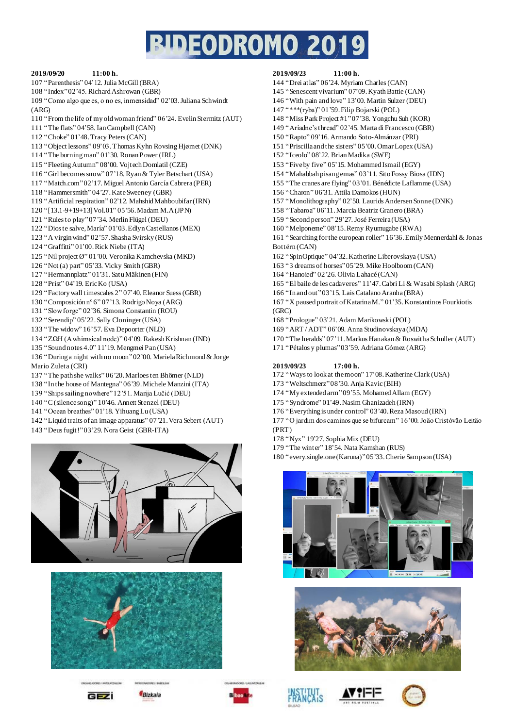## **RIDEODROMO 2019**

**2019/09/20 11:00 h.** 107 "Parenthesis" 04'12. Julia McGill (BRA) 108 "Index"02'45. Richard Ashrowan (GBR) 109 "Como algo que es, o no es, inmensidad" 02'03.Juliana Schwindt (ARG) 110 "From the life of my old woman friend" 06'24. Evelin Stermitz (AUT) 111 "The flats" 04'58. Ian Campbell (CAN) 112 "Choke" 01'48.Tracy Peters(CAN) 113 "Object lessons" 09'03.Thomas Kyhn Rovsing Hjørnet (DNK) 114 "The burning man" 01'30. Ronan Power (IRL) 115 "Fleeting Autumn" 08'00. Vojtech Domlatil (CZE) 116 "Girl becomes snow" 07'18. Ryan & Tyler Betschart (USA) 117 "Match.com"02'17. Miguel Antonio García Cabrera (PER) 118 "Hammersmith" 04'27.Kate Sweeney (GBR) 119 "Artificial respiration" 02'12. Mahshid Mahboubifar(IRN) 120 "[13.1-9+19+13] Vol.01" 05'56.Madam M.A(JPN) 121 "Rules to play"07'34. Merlin Flügel (DEU) 122 "Dios te salve, María" 01'03.Edlyn Castellanos(MEX) 123 "A virgin wind" 02'57.Shasha Svirsky (RUS) 124 "Graffitti" 01'00.Rick Niebe (ITA) 125 "Nil project Ø" 01'00. Veronika Kamchevska (MKD) 126 "Not (a) part" 05'33. Vicky Smith (GBR) 127 "Hermannplatz" 01'31. Satu Mäkinen (FIN) 128 "Prist" 04'19. Eric Ko (USA) 129 "Factory wall timescales 2" 07'40. Eleanor Suess(GBR) 130 "Composición nº 6" 07'13. Rodrigo Noya (ARG) 131 "Slow forge" 02'36. Simona Constantin (ROU) 132 "Serendip" 05'22.Sally Cloninger (USA) 133 "The widow" 16'57. Eva Depoorter (NLD) 134 "ZΩH (A whimsical node)" 04'09. Rakesh Krishnan (IND) 135 "Sound notes 4.0" 11'19. Mengmei Pan (USA) 136 "During a night with no moon"02'00. Mariela Richmond & Jorge Mario Zuleta (CRI)

- 137 "The path she walks" 06'20. Marloes ten Bhömer (NLD)
- 138 "In the house of Mantegna" 06'39.Michele Manzini (ITA)
- 139 "Ships sailing nowhere" 12'51. Marija Lučić (DEU)
- 140 "C (silence song)" 10'46. Annett Stenzel (DEU)
- 141 "Ocean breathes" 01'18. Yihuang Lu (USA)
- 142 "Liquid traits of an image apparatus" 07'21.Vera Sebert (AUT)
- 143 "Deus fugit!"03'29. Nora Geist (GBR-ITA)





## GEZI



**CALL LEASES EN** 



### **2019/09/23 11:00 h.**

- 144 "Drei atlas" 06'24. Myriam Charles (CAN)
- 145 "Senescent vivarium" 07'09.Kyath Battie (CAN)
- 146 "With pain and love" 13'00. Martin Sulzer (DEU)
- 147 "\*\*\*(ryba)" 01'59. Filip Bojarski (POL)
- 148 "Miss Park Project #1"07'38. Yongchu Suh (KOR)
- 149 "Ariadne's thread" 02'45. Marta di Francesco (GBR)
- 150 "Rapto" 09'16. Armando Soto-Almánzar (PRI)
- 151 "Priscilla and the sisters" 05'00.Omar Lopex (USA)
- 152 "Iceolo" 08'22. Brian Madika (SWE)
- 153 "Five by five" 05'15. Mohammed Ismail (EGY)
- 154 "Mahabbah pisang emas" 03'11. Sito Fossy Biosa (IDN)
- 155 "The cranes are flying" 03'01. Bénédicte Laflamme (USA)
- 156 "Charon" 06'31. Attila Damokos (HUN)
- 157 "Monolithography" 02'50. Laurids Andersen Sonne (DNK)
- 158 "Tabaroa" 06'11.Marcia Beatriz Granero (BRA)
- 159 "Second person" 29'27. José Ferreira (USA)
- 160 "Melponeme" 08'15.Remy Ryumugabe (RWA)
- 161 "Searching for the european roller" 16'36.Emily Mennerdahl & Jonas Bottërn (CAN)
- 162 "SpinOptique" 04'32.Katherine Liberovskaya (USA)
- 163 "3 dreams of horses"05'29. Mike Hoolboom(CAN)
- 164 "Hanoied" 02'26. Olivia Lahacé(CAN)
- 165 "El baile de les cadaveres" 11'47.Cabri Li & Wasabi Splash (ARG)
- 166 "In and out"03'15. Lais Catalano Aranha (BRA)

167 "X paused portrait of Katarina M." 01'35. Konstantinos Fourkiotis  $(GRC)$ 

- 168 "Prologue" 03'21. Adam Marikowski (POL)
- 169 "ART / ADT" 06'09. Anna Studinovskaya (MDA)
- 170 "The heralds" 07'11.Markus Hanakan & Roswitha Schuller (AUT)
- 171 "Pétalos y plumas" 03'59. Adriana Gómez (ARG)

#### **2019/09/23 17:00 h.**

- 172 "Ways to look at the moon" 17'08.Katherine Clark (USA)
- 173 "Weltschmerz"08'30. Anja Kavic (BIH)
- 174 "My extended arm"09'55. Mohamed Allam (EGY)
- 175 "Syndrome" 01'49.Nasim Ghanizadeh (IRN)
- 176 "Everything is under control" 03'40.Reza Masoud (IRN)
- 177 "O jardim dos caminos que se bifurcam" 16'00. Joäo Cristóväo Leitäo (PRT)
- 178 "Nyx" 19'27. Sophia Mix (DEU)
- 179 "The winter" 18'54. Nata Kamshan (RUS)
- 180 "every.single.one (Karuna)"05'33.Cherie Sampson (USA)